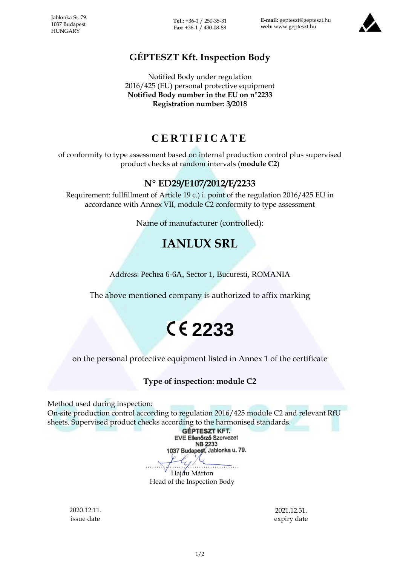Jablonka St. 79. 1037 Budapest **HUNGARY** 

**Tel.:** +36-1 / 250-35-31 **Fax:** +36-1 / 430-08-88

**E-mail:** gepteszt@gepteszt.hu **web:** www.gepteszt.hu



## **GÉPTESZT Kft. Inspection Body**

Notified Body under regulation 2016/425 (EU) personal protective equipment **Notified Body number in the EU on n°2233 Registration number: 3/2018**

# **C E R T I F I C A T E**

of conformity to type assessment based on internal production control plus supervised product checks at random intervals (**module C2**)

### **N° ED29/E107/2012/E/2233**

Requirement: fullfillment of Article 19 c.) i. point of the regulation 2016/425 EU in accordance with Annex VII, module C2 conformity to type assessment

Name of manufacturer (controlled):

# **IANLUX SRL**

Address: Pechea 6-6A, Sector 1, Bucuresti, ROMANIA

The above mentioned company is authorized to affix marking

# **2233**

on the personal protective equipment listed in Annex 1 of the certificate

#### **Type of inspection: module C2**

Method used during inspection:

On-site production control according to regulation 2016/425 module C2 and relevant RfU sheets. Supervised product checks according to the harmonised standards.

**GÉPTESZT KFT. EVE Ellenőrző Szervezet** NB 2233 1037 Budapest, Jablonka u. 79. …………………………………… Hajdu Márton Head of the Inspection Body

2020.12.11. issue date

2021.12.31. expiry date